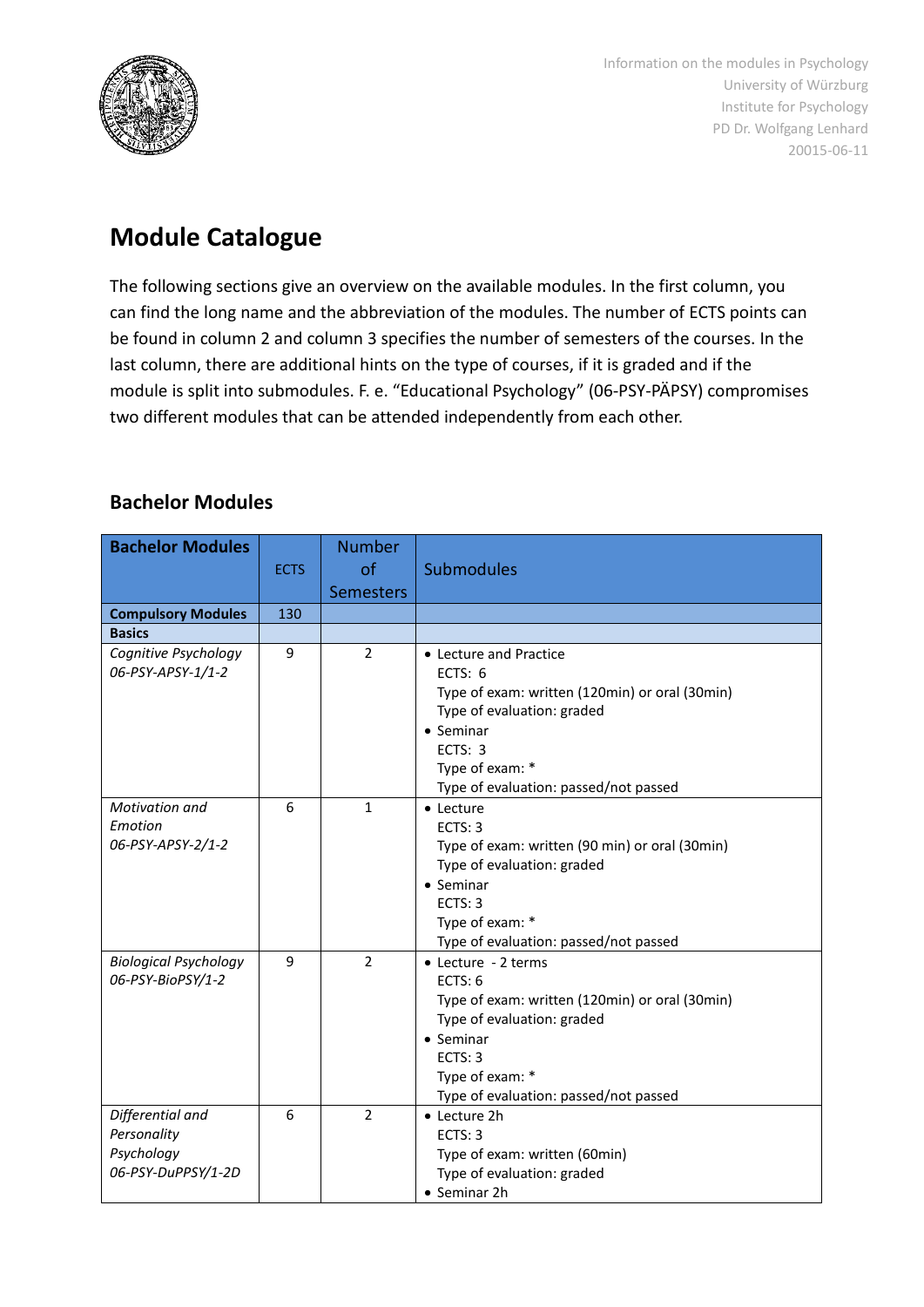

Information on the modules in Psychology University of Würzburg Institute for Psychology PD Dr. Wolfgang Lenhard 20015-06-11

# **Module Catalogue**

The following sections give an overview on the available modules. In the first column, you can find the long name and the abbreviation of the modules. The number of ECTS points can be found in column 2 and column 3 specifies the number of semesters of the courses. In the last column, there are additional hints on the type of courses, if it is graded and if the module is split into submodules. F. e. "Educational Psychology" (06-PSY-PÄPSY) compromises two different modules that can be attended independently from each other.

## **Bachelor Modules**

| <b>Bachelor Modules</b>      |             | <b>Number</b>    |                                                |
|------------------------------|-------------|------------------|------------------------------------------------|
|                              |             |                  |                                                |
|                              | <b>ECTS</b> | of               | <b>Submodules</b>                              |
|                              |             | <b>Semesters</b> |                                                |
| <b>Compulsory Modules</b>    | 130         |                  |                                                |
| <b>Basics</b>                |             |                  |                                                |
| Cognitive Psychology         | 9           | $\overline{2}$   | • Lecture and Practice                         |
| 06-PSY-APSY-1/1-2            |             |                  | ECTS: $6$                                      |
|                              |             |                  | Type of exam: written (120min) or oral (30min) |
|                              |             |                  | Type of evaluation: graded                     |
|                              |             |                  | • Seminar                                      |
|                              |             |                  | ECTS: 3                                        |
|                              |             |                  | Type of exam: *                                |
|                              |             |                  | Type of evaluation: passed/not passed          |
| Motivation and               | 6           | $\mathbf{1}$     | • Lecture                                      |
| Emotion                      |             |                  | ECTS: 3                                        |
| 06-PSY-APSY-2/1-2            |             |                  | Type of exam: written (90 min) or oral (30min) |
|                              |             |                  | Type of evaluation: graded                     |
|                              |             |                  | • Seminar                                      |
|                              |             |                  | ECTS: 3                                        |
|                              |             |                  | Type of exam: *                                |
|                              |             |                  | Type of evaluation: passed/not passed          |
| <b>Biological Psychology</b> | 9           | $\overline{2}$   | • Lecture - 2 terms                            |
| 06-PSY-BioPSY/1-2            |             |                  | ECTS: 6                                        |
|                              |             |                  | Type of exam: written (120min) or oral (30min) |
|                              |             |                  | Type of evaluation: graded                     |
|                              |             |                  | • Seminar                                      |
|                              |             |                  | ECTS: 3                                        |
|                              |             |                  | Type of exam: *                                |
|                              |             |                  | Type of evaluation: passed/not passed          |
| Differential and             | 6           | $\overline{2}$   | • Lecture 2h                                   |
| Personality                  |             |                  | ECTS: 3                                        |
| Psychology                   |             |                  | Type of exam: written (60min)                  |
| 06-PSY-DuPPSY/1-2D           |             |                  | Type of evaluation: graded                     |
|                              |             |                  | • Seminar 2h                                   |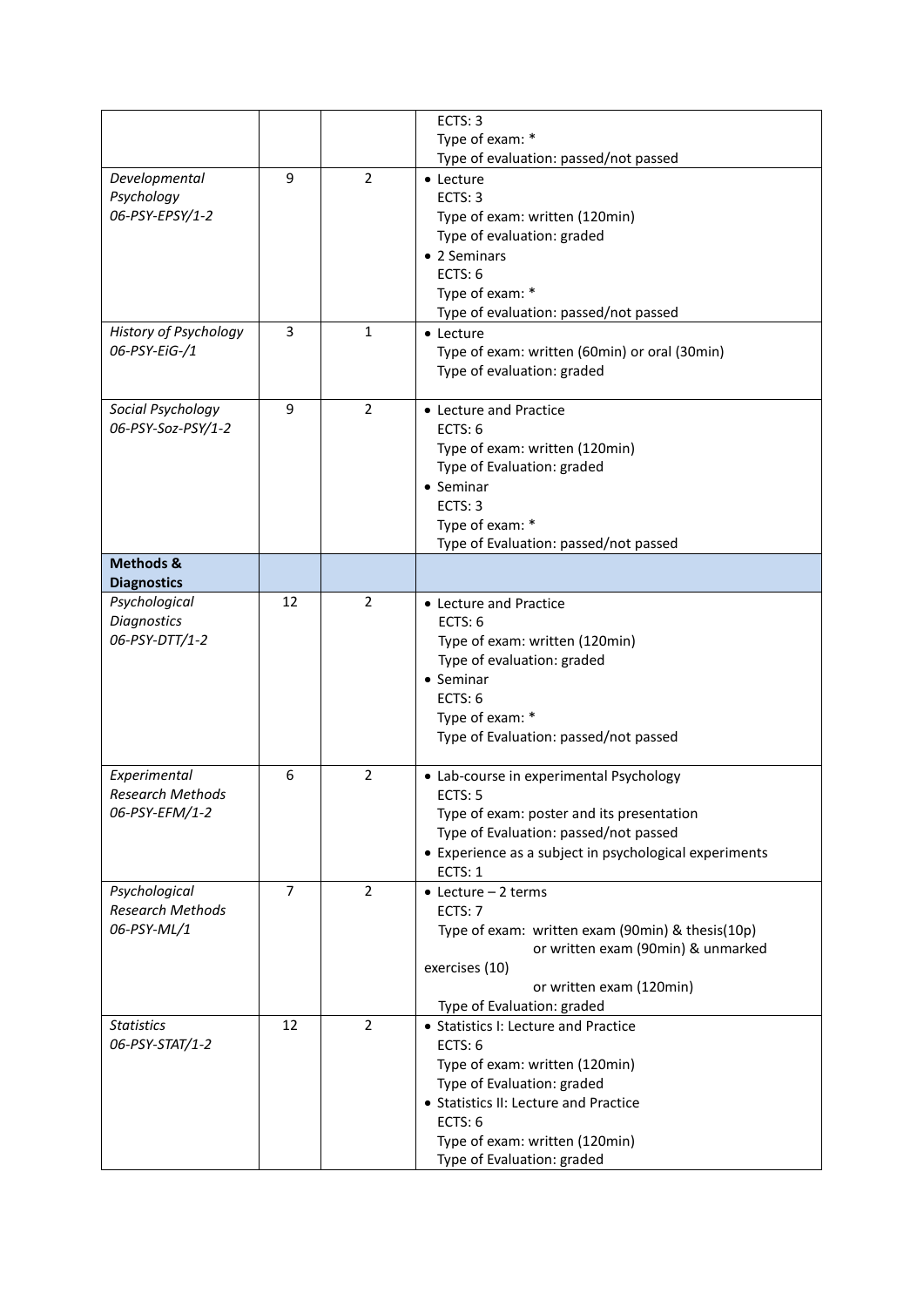|                                 |                |                | ECTS: 3                                                           |
|---------------------------------|----------------|----------------|-------------------------------------------------------------------|
|                                 |                |                | Type of exam: *                                                   |
|                                 |                |                | Type of evaluation: passed/not passed                             |
| Developmental                   | 9              | $\overline{2}$ | • Lecture                                                         |
| Psychology                      |                |                | FCTS: 3                                                           |
| 06-PSY-EPSY/1-2                 |                |                | Type of exam: written (120min)                                    |
|                                 |                |                | Type of evaluation: graded                                        |
|                                 |                |                | • 2 Seminars                                                      |
|                                 |                |                | ECTS: $6$                                                         |
|                                 |                |                | Type of exam: *                                                   |
|                                 |                |                | Type of evaluation: passed/not passed                             |
| History of Psychology           | 3              | $\mathbf{1}$   | • Lecture                                                         |
| 06-PSY-EiG-/1                   |                |                | Type of exam: written (60min) or oral (30min)                     |
|                                 |                |                |                                                                   |
|                                 |                |                | Type of evaluation: graded                                        |
| Social Psychology               | 9              | $\overline{2}$ | • Lecture and Practice                                            |
| 06-PSY-Soz-PSY/1-2              |                |                | ECTS: 6                                                           |
|                                 |                |                |                                                                   |
|                                 |                |                | Type of exam: written (120min)                                    |
|                                 |                |                | Type of Evaluation: graded                                        |
|                                 |                |                | • Seminar                                                         |
|                                 |                |                | ECTS: 3                                                           |
|                                 |                |                | Type of exam: *                                                   |
|                                 |                |                | Type of Evaluation: passed/not passed                             |
| Methods &<br><b>Diagnostics</b> |                |                |                                                                   |
| Psychological                   | 12             | $\overline{2}$ | • Lecture and Practice                                            |
| <b>Diagnostics</b>              |                |                | ECTS: 6                                                           |
| 06-PSY-DTT/1-2                  |                |                |                                                                   |
|                                 |                |                | Type of exam: written (120min)                                    |
|                                 |                |                | Type of evaluation: graded                                        |
|                                 |                |                | $\bullet$ Seminar                                                 |
|                                 |                |                | ECTS: 6                                                           |
|                                 |                |                | Type of exam: *                                                   |
|                                 |                |                | Type of Evaluation: passed/not passed                             |
| Experimental                    | 6              | $\overline{2}$ | • Lab-course in experimental Psychology                           |
| <b>Research Methods</b>         |                |                | ECTS: 5                                                           |
| 06-PSY-EFM/1-2                  |                |                | Type of exam: poster and its presentation                         |
|                                 |                |                | Type of Evaluation: passed/not passed                             |
|                                 |                |                |                                                                   |
|                                 |                |                | • Experience as a subject in psychological experiments<br>ECTS: 1 |
|                                 | $\overline{7}$ | $\overline{2}$ |                                                                   |
| Psychological                   |                |                | $\bullet$ Lecture - 2 terms                                       |
| Research Methods                |                |                | ECTS: 7                                                           |
| 06-PSY-ML/1                     |                |                | Type of exam: written exam (90min) & thesis(10p)                  |
|                                 |                |                | or written exam (90min) & unmarked                                |
|                                 |                |                | exercises (10)                                                    |
|                                 |                |                | or written exam (120min)<br>Type of Evaluation: graded            |
| <b>Statistics</b>               | 12             | $\overline{2}$ | • Statistics I: Lecture and Practice                              |
| 06-PSY-STAT/1-2                 |                |                | ECTS: 6                                                           |
|                                 |                |                |                                                                   |
|                                 |                |                | Type of exam: written (120min)                                    |
|                                 |                |                | Type of Evaluation: graded                                        |
|                                 |                |                | • Statistics II: Lecture and Practice                             |
|                                 |                |                | ECTS: 6                                                           |
|                                 |                |                | Type of exam: written (120min)                                    |
|                                 |                |                | Type of Evaluation: graded                                        |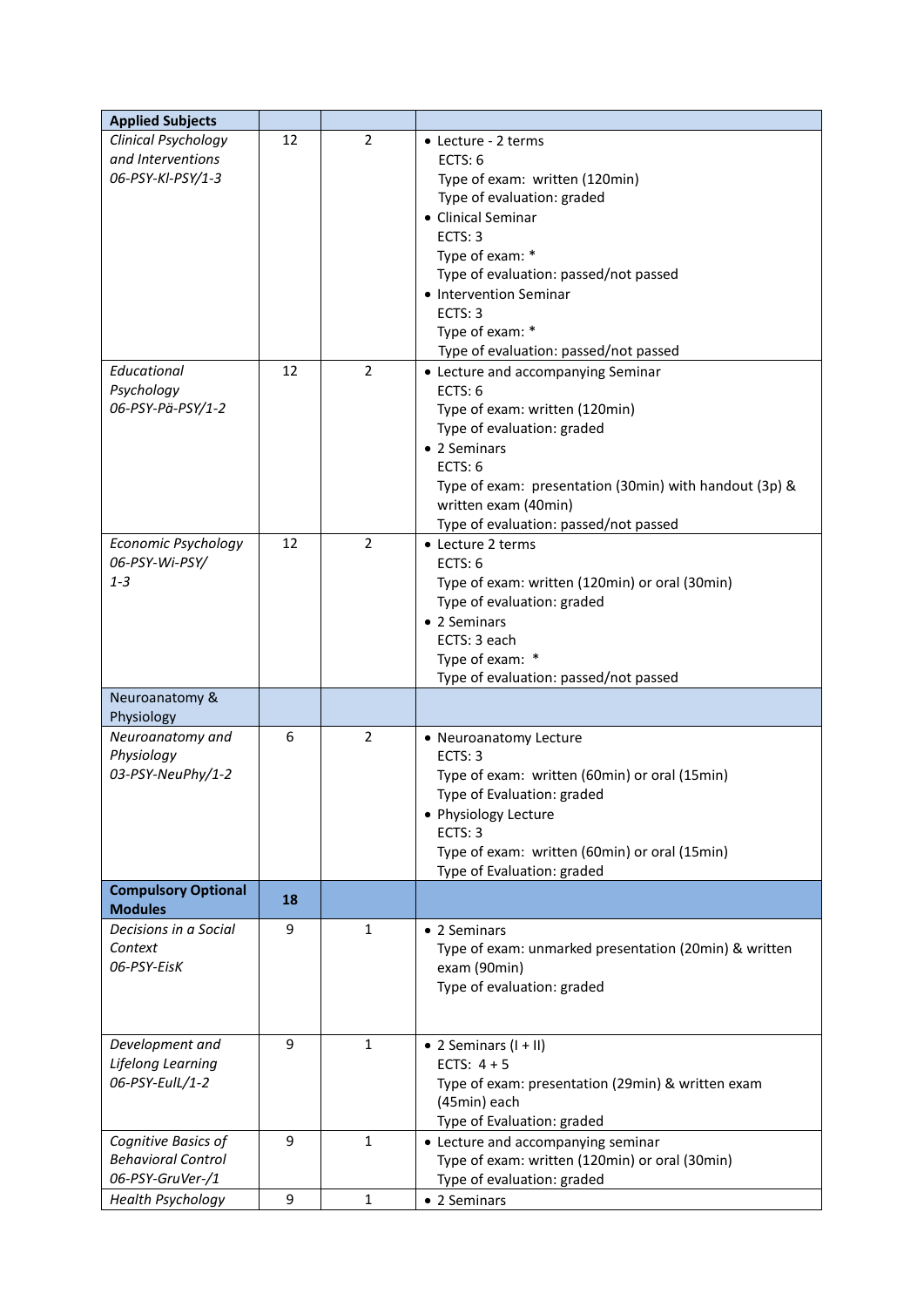| <b>Applied Subjects</b>                                                                                         |          |                                  |                                                                                                                                                                                                                                                                                                                                                                                                                                                                                                      |
|-----------------------------------------------------------------------------------------------------------------|----------|----------------------------------|------------------------------------------------------------------------------------------------------------------------------------------------------------------------------------------------------------------------------------------------------------------------------------------------------------------------------------------------------------------------------------------------------------------------------------------------------------------------------------------------------|
| Clinical Psychology<br>and Interventions<br>06-PSY-KI-PSY/1-3<br>Educational<br>Psychology<br>06-PSY-Pä-PSY/1-2 | 12<br>12 | $\overline{2}$<br>$\overline{2}$ | • Lecture - 2 terms<br>ECTS: $6$<br>Type of exam: written (120min)<br>Type of evaluation: graded<br>• Clinical Seminar<br>ECTS: 3<br>Type of exam: *<br>Type of evaluation: passed/not passed<br>• Intervention Seminar<br>ECTS: 3<br>Type of exam: *<br>Type of evaluation: passed/not passed<br>• Lecture and accompanying Seminar<br>ECTS: 6<br>Type of exam: written (120min)<br>Type of evaluation: graded<br>• 2 Seminars<br>ECTS: 6<br>Type of exam: presentation (30min) with handout (3p) & |
| <b>Economic Psychology</b>                                                                                      | 12       | $\overline{2}$                   | written exam (40min)<br>Type of evaluation: passed/not passed<br>• Lecture 2 terms                                                                                                                                                                                                                                                                                                                                                                                                                   |
| 06-PSY-Wi-PSY/<br>$1 - 3$                                                                                       |          |                                  | ECTS: 6<br>Type of exam: written (120min) or oral (30min)<br>Type of evaluation: graded<br>• 2 Seminars<br>ECTS: 3 each<br>Type of exam: *<br>Type of evaluation: passed/not passed                                                                                                                                                                                                                                                                                                                  |
| Neuroanatomy &<br>Physiology                                                                                    |          |                                  |                                                                                                                                                                                                                                                                                                                                                                                                                                                                                                      |
| Neuroanatomy and<br>Physiology<br>03-PSY-NeuPhy/1-2                                                             | 6        | $\overline{2}$                   | • Neuroanatomy Lecture<br>ECTS: 3<br>Type of exam: written (60min) or oral (15min)<br>Type of Evaluation: graded<br>• Physiology Lecture<br>ECTS: 3<br>Type of exam: written (60min) or oral (15min)<br>Type of Evaluation: graded                                                                                                                                                                                                                                                                   |
| <b>Compulsory Optional</b><br><b>Modules</b>                                                                    | 18       |                                  |                                                                                                                                                                                                                                                                                                                                                                                                                                                                                                      |
| Decisions in a Social<br>Context<br>06-PSY-EisK                                                                 | 9        | $\mathbf{1}$                     | • 2 Seminars<br>Type of exam: unmarked presentation (20min) & written<br>exam (90min)<br>Type of evaluation: graded                                                                                                                                                                                                                                                                                                                                                                                  |
| Development and<br>Lifelong Learning<br>06-PSY-EulL/1-2                                                         | 9        | $\mathbf{1}$                     | $\bullet$ 2 Seminars (I + II)<br>ECTS: $4 + 5$<br>Type of exam: presentation (29min) & written exam<br>(45min) each<br>Type of Evaluation: graded                                                                                                                                                                                                                                                                                                                                                    |
| Cognitive Basics of<br><b>Behavioral Control</b><br>06-PSY-GruVer-/1                                            | 9        | $\mathbf{1}$                     | • Lecture and accompanying seminar<br>Type of exam: written (120min) or oral (30min)<br>Type of evaluation: graded                                                                                                                                                                                                                                                                                                                                                                                   |
| <b>Health Psychology</b>                                                                                        | 9        | 1                                | • 2 Seminars                                                                                                                                                                                                                                                                                                                                                                                                                                                                                         |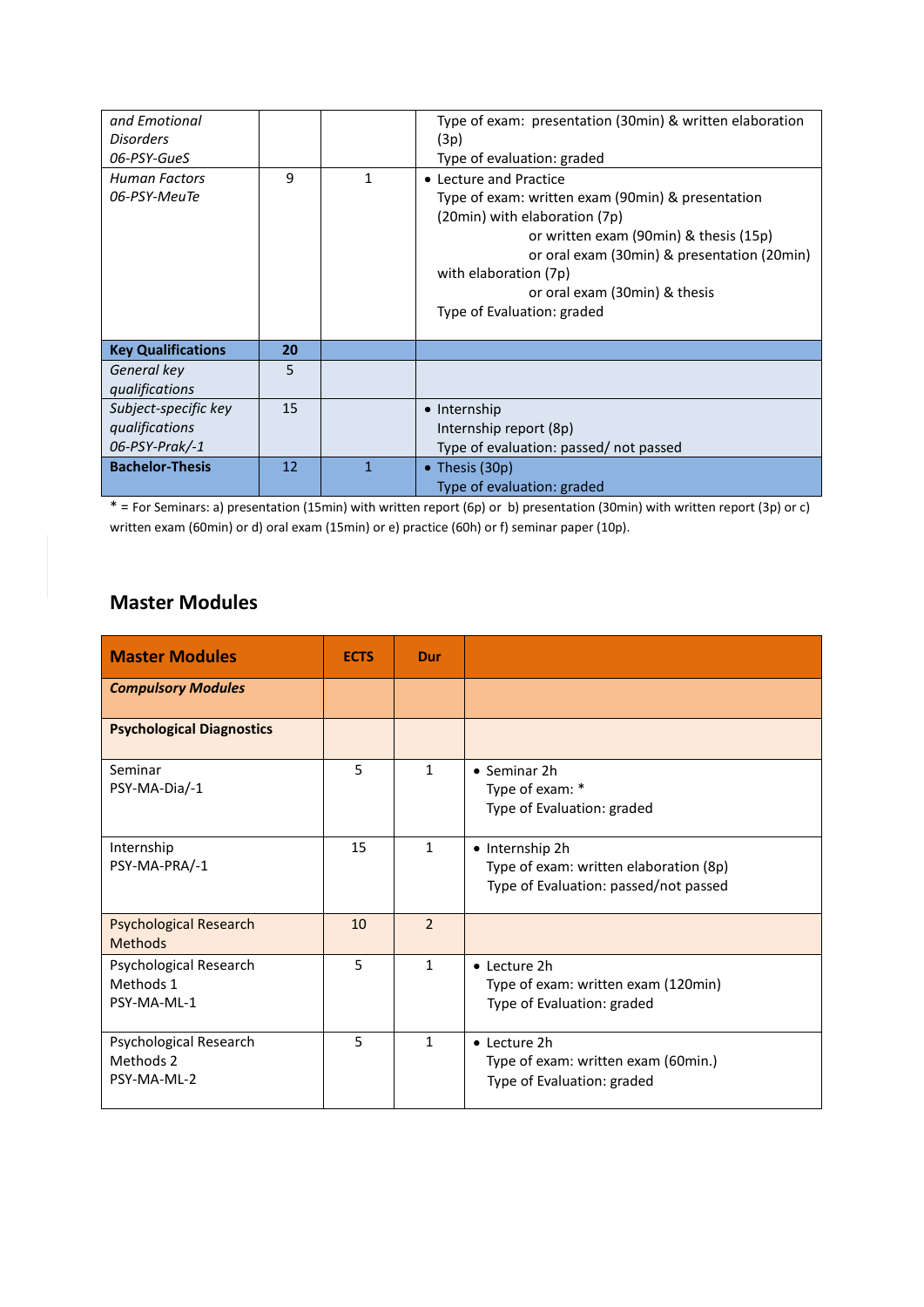| and Emotional<br><b>Disorders</b><br>06-PSY-GueS            |    |              | Type of exam: presentation (30min) & written elaboration<br>(3p)<br>Type of evaluation: graded                                                                                                                                                                                                |
|-------------------------------------------------------------|----|--------------|-----------------------------------------------------------------------------------------------------------------------------------------------------------------------------------------------------------------------------------------------------------------------------------------------|
| <b>Human Factors</b><br>06-PSY-MeuTe                        | 9  | 1            | • Lecture and Practice<br>Type of exam: written exam (90min) & presentation<br>(20min) with elaboration (7p)<br>or written exam (90min) & thesis (15p)<br>or oral exam (30min) & presentation (20min)<br>with elaboration (7p)<br>or oral exam (30min) & thesis<br>Type of Evaluation: graded |
| <b>Key Qualifications</b>                                   | 20 |              |                                                                                                                                                                                                                                                                                               |
| General key<br>qualifications                               | 5  |              |                                                                                                                                                                                                                                                                                               |
| Subject-specific key<br>qualifications<br>$06$ -PSY-Prak/-1 | 15 |              | • Internship<br>Internship report (8p)<br>Type of evaluation: passed/not passed                                                                                                                                                                                                               |
| <b>Bachelor-Thesis</b>                                      | 12 | $\mathbf{1}$ | • Thesis $(30p)$<br>Type of evaluation: graded                                                                                                                                                                                                                                                |

\* = For Seminars: a) presentation (15min) with written report (6p) or b) presentation (30min) with written report (3p) or c) written exam (60min) or d) oral exam (15min) or e) practice (60h) or f) seminar paper (10p).

# **Master Modules**

| <b>Master Modules</b>                              | <b>ECTS</b> | Dur            |                                                                                                    |
|----------------------------------------------------|-------------|----------------|----------------------------------------------------------------------------------------------------|
| <b>Compulsory Modules</b>                          |             |                |                                                                                                    |
| <b>Psychological Diagnostics</b>                   |             |                |                                                                                                    |
| Seminar<br>PSY-MA-Dia/-1                           | 5           | $\mathbf{1}$   | • Seminar 2h<br>Type of exam: *<br>Type of Evaluation: graded                                      |
| Internship<br>PSY-MA-PRA/-1                        | 15          | $\mathbf{1}$   | • Internship 2h<br>Type of exam: written elaboration (8p)<br>Type of Evaluation: passed/not passed |
| <b>Psychological Research</b><br><b>Methods</b>    | 10          | $\overline{2}$ |                                                                                                    |
| Psychological Research<br>Methods 1<br>PSY-MA-ML-1 | 5           | $\mathbf{1}$   | • Lecture 2h<br>Type of exam: written exam (120min)<br>Type of Evaluation: graded                  |
| Psychological Research<br>Methods 2<br>PSY-MA-ML-2 | 5           | $\mathbf{1}$   | • Lecture 2h<br>Type of exam: written exam (60min.)<br>Type of Evaluation: graded                  |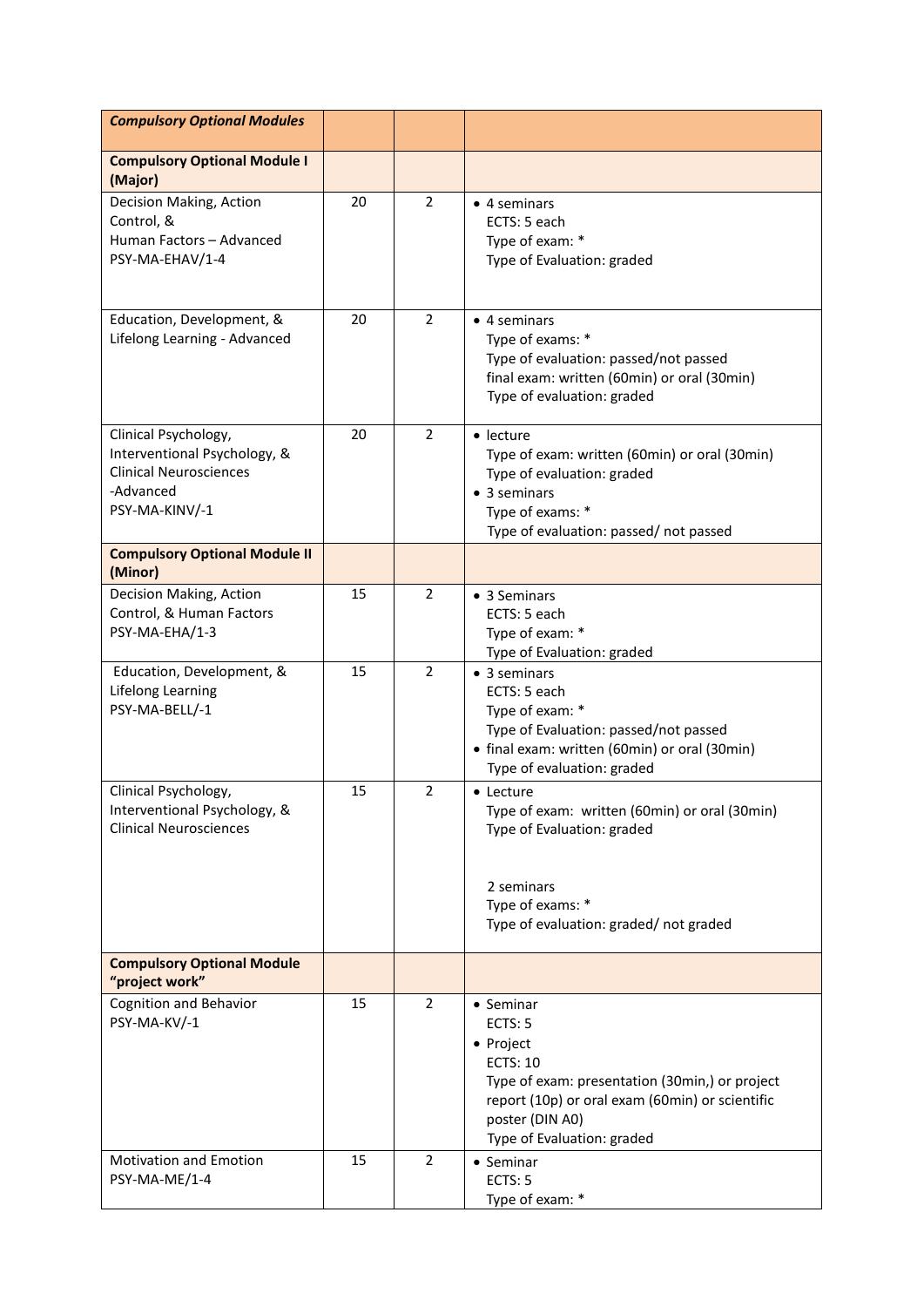| <b>Compulsory Optional Modules</b>                                                                                   |    |                |                                                                                                                                                                                                            |
|----------------------------------------------------------------------------------------------------------------------|----|----------------|------------------------------------------------------------------------------------------------------------------------------------------------------------------------------------------------------------|
| <b>Compulsory Optional Module I</b><br>(Major)                                                                       |    |                |                                                                                                                                                                                                            |
| Decision Making, Action<br>Control, &<br>Human Factors - Advanced<br>PSY-MA-EHAV/1-4                                 | 20 | $\overline{2}$ | $\bullet$ 4 seminars<br>ECTS: 5 each<br>Type of exam: *<br>Type of Evaluation: graded                                                                                                                      |
| Education, Development, &<br>Lifelong Learning - Advanced                                                            | 20 | 2              | $\bullet$ 4 seminars<br>Type of exams: *<br>Type of evaluation: passed/not passed<br>final exam: written (60min) or oral (30min)<br>Type of evaluation: graded                                             |
| Clinical Psychology,<br>Interventional Psychology, &<br><b>Clinical Neurosciences</b><br>-Advanced<br>PSY-MA-KINV/-1 | 20 | $\overline{2}$ | $\bullet$ lecture<br>Type of exam: written (60min) or oral (30min)<br>Type of evaluation: graded<br>$\bullet$ 3 seminars<br>Type of exams: *<br>Type of evaluation: passed/not passed                      |
| <b>Compulsory Optional Module II</b><br>(Minor)                                                                      |    |                |                                                                                                                                                                                                            |
| Decision Making, Action<br>Control, & Human Factors<br>PSY-MA-EHA/1-3                                                | 15 | 2              | • 3 Seminars<br>ECTS: 5 each<br>Type of exam: *<br>Type of Evaluation: graded                                                                                                                              |
| Education, Development, &<br>Lifelong Learning<br>PSY-MA-BELL/-1                                                     | 15 | $\overline{2}$ | $\bullet$ 3 seminars<br>ECTS: 5 each<br>Type of exam: *<br>Type of Evaluation: passed/not passed<br>• final exam: written (60min) or oral (30min)<br>Type of evaluation: graded                            |
| Clinical Psychology,<br>Interventional Psychology, &<br><b>Clinical Neurosciences</b>                                | 15 | $\overline{2}$ | • Lecture<br>Type of exam: written (60min) or oral (30min)<br>Type of Evaluation: graded                                                                                                                   |
|                                                                                                                      |    |                | 2 seminars<br>Type of exams: *<br>Type of evaluation: graded/not graded                                                                                                                                    |
| <b>Compulsory Optional Module</b><br>"project work"                                                                  |    |                |                                                                                                                                                                                                            |
| Cognition and Behavior<br>PSY-MA-KV/-1                                                                               | 15 | 2              | • Seminar<br>ECTS: 5<br>• Project<br><b>ECTS: 10</b><br>Type of exam: presentation (30min,) or project<br>report (10p) or oral exam (60min) or scientific<br>poster (DIN A0)<br>Type of Evaluation: graded |
| <b>Motivation and Emotion</b><br>PSY-MA-ME/1-4                                                                       | 15 | $\overline{2}$ | • Seminar<br>ECTS: 5<br>Type of exam: *                                                                                                                                                                    |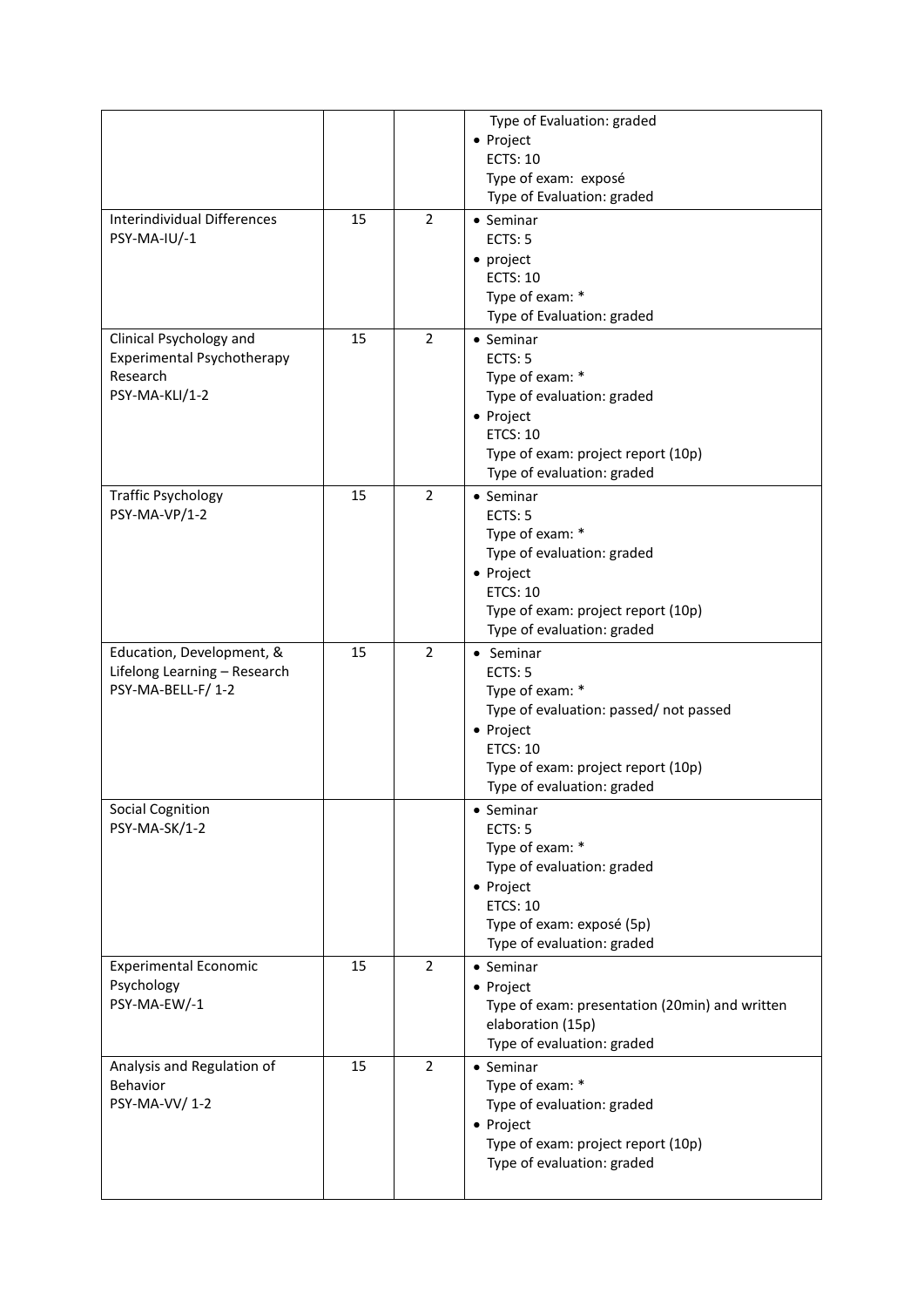|                                    |    |                | Type of Evaluation: graded                     |
|------------------------------------|----|----------------|------------------------------------------------|
|                                    |    |                | • Project                                      |
|                                    |    |                | ECTS: 10                                       |
|                                    |    |                | Type of exam: exposé                           |
|                                    |    |                | Type of Evaluation: graded                     |
| <b>Interindividual Differences</b> | 15 | $\overline{2}$ | $\bullet$ Seminar                              |
| PSY-MA-IU/-1                       |    |                | ECTS: 5                                        |
|                                    |    |                | • project                                      |
|                                    |    |                | <b>ECTS: 10</b>                                |
|                                    |    |                | Type of exam: *                                |
|                                    |    |                | Type of Evaluation: graded                     |
|                                    | 15 | $\overline{2}$ |                                                |
| Clinical Psychology and            |    |                | $\bullet$ Seminar                              |
| Experimental Psychotherapy         |    |                | ECTS: 5                                        |
| Research                           |    |                | Type of exam: *                                |
| PSY-MA-KLI/1-2                     |    |                | Type of evaluation: graded                     |
|                                    |    |                | • Project                                      |
|                                    |    |                | <b>ETCS: 10</b>                                |
|                                    |    |                | Type of exam: project report (10p)             |
|                                    |    |                | Type of evaluation: graded                     |
| <b>Traffic Psychology</b>          | 15 | 2              | • Seminar                                      |
| PSY-MA-VP/1-2                      |    |                | ECTS: 5                                        |
|                                    |    |                | Type of exam: *                                |
|                                    |    |                | Type of evaluation: graded                     |
|                                    |    |                | • Project                                      |
|                                    |    |                | <b>ETCS: 10</b>                                |
|                                    |    |                | Type of exam: project report (10p)             |
|                                    |    |                | Type of evaluation: graded                     |
| Education, Development, &          | 15 | $\overline{2}$ | • Seminar                                      |
| Lifelong Learning - Research       |    |                | ECTS: 5                                        |
| PSY-MA-BELL-F/1-2                  |    |                | Type of exam: *                                |
|                                    |    |                | Type of evaluation: passed/not passed          |
|                                    |    |                | • Project                                      |
|                                    |    |                | <b>ETCS: 10</b>                                |
|                                    |    |                | Type of exam: project report (10p)             |
|                                    |    |                | Type of evaluation: graded                     |
| <b>Social Cognition</b>            |    |                | • Seminar                                      |
| PSY-MA-SK/1-2                      |    |                | ECTS: 5                                        |
|                                    |    |                | Type of exam: *                                |
|                                    |    |                | Type of evaluation: graded                     |
|                                    |    |                | • Project                                      |
|                                    |    |                | <b>ETCS: 10</b>                                |
|                                    |    |                | Type of exam: exposé (5p)                      |
|                                    |    |                | Type of evaluation: graded                     |
| <b>Experimental Economic</b>       | 15 | $\overline{2}$ | • Seminar                                      |
| Psychology                         |    |                | • Project                                      |
| PSY-MA-EW/-1                       |    |                | Type of exam: presentation (20min) and written |
|                                    |    |                | elaboration (15p)                              |
|                                    |    |                | Type of evaluation: graded                     |
| Analysis and Regulation of         | 15 | $\overline{2}$ | $\bullet$ Seminar                              |
| Behavior                           |    |                | Type of exam: *                                |
| PSY-MA-VV/1-2                      |    |                | Type of evaluation: graded                     |
|                                    |    |                |                                                |
|                                    |    |                | • Project                                      |
|                                    |    |                | Type of exam: project report (10p)             |
|                                    |    |                | Type of evaluation: graded                     |
|                                    |    |                |                                                |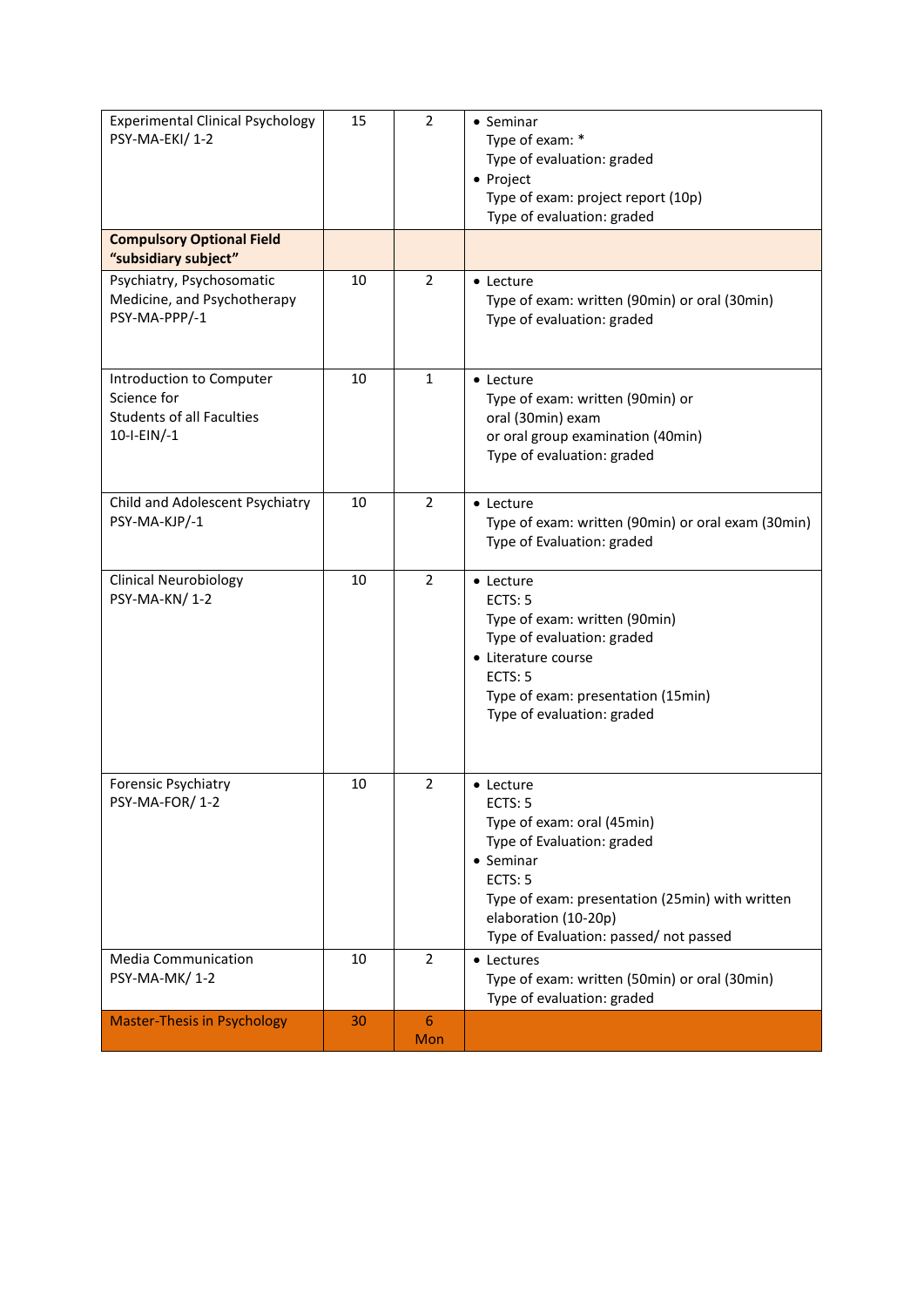| <b>Experimental Clinical Psychology</b><br>PSY-MA-EKI/1-2                                  | 15 | $\overline{2}$        | • Seminar<br>Type of exam: *<br>Type of evaluation: graded<br>• Project<br>Type of exam: project report (10p)<br>Type of evaluation: graded                                                                                          |
|--------------------------------------------------------------------------------------------|----|-----------------------|--------------------------------------------------------------------------------------------------------------------------------------------------------------------------------------------------------------------------------------|
| <b>Compulsory Optional Field</b><br>"subsidiary subject"                                   |    |                       |                                                                                                                                                                                                                                      |
| Psychiatry, Psychosomatic<br>Medicine, and Psychotherapy<br>PSY-MA-PPP/-1                  | 10 | $\overline{2}$        | • Lecture<br>Type of exam: written (90min) or oral (30min)<br>Type of evaluation: graded                                                                                                                                             |
| Introduction to Computer<br>Science for<br><b>Students of all Faculties</b><br>10-I-EIN/-1 | 10 | 1                     | • Lecture<br>Type of exam: written (90min) or<br>oral (30min) exam<br>or oral group examination (40min)<br>Type of evaluation: graded                                                                                                |
| Child and Adolescent Psychiatry<br>PSY-MA-KJP/-1                                           | 10 | $\overline{2}$        | • Lecture<br>Type of exam: written (90min) or oral exam (30min)<br>Type of Evaluation: graded                                                                                                                                        |
| <b>Clinical Neurobiology</b><br>PSY-MA-KN/1-2                                              | 10 | $\overline{2}$        | • Lecture<br>ECTS: 5<br>Type of exam: written (90min)<br>Type of evaluation: graded<br>• Literature course<br>ECTS: 5<br>Type of exam: presentation (15min)<br>Type of evaluation: graded                                            |
| Forensic Psychiatry<br>PSY-MA-FOR/1-2                                                      | 10 | $\overline{2}$        | $\bullet$ Lecture<br>ECTS: 5<br>Type of exam: oral (45min)<br>Type of Evaluation: graded<br>• Seminar<br>ECTS: 5<br>Type of exam: presentation (25min) with written<br>elaboration (10-20p)<br>Type of Evaluation: passed/not passed |
| <b>Media Communication</b><br>PSY-MA-MK/1-2                                                | 10 | $\overline{2}$        | • Lectures<br>Type of exam: written (50min) or oral (30min)<br>Type of evaluation: graded                                                                                                                                            |
| <b>Master-Thesis in Psychology</b>                                                         | 30 | $6\phantom{1}$<br>Mon |                                                                                                                                                                                                                                      |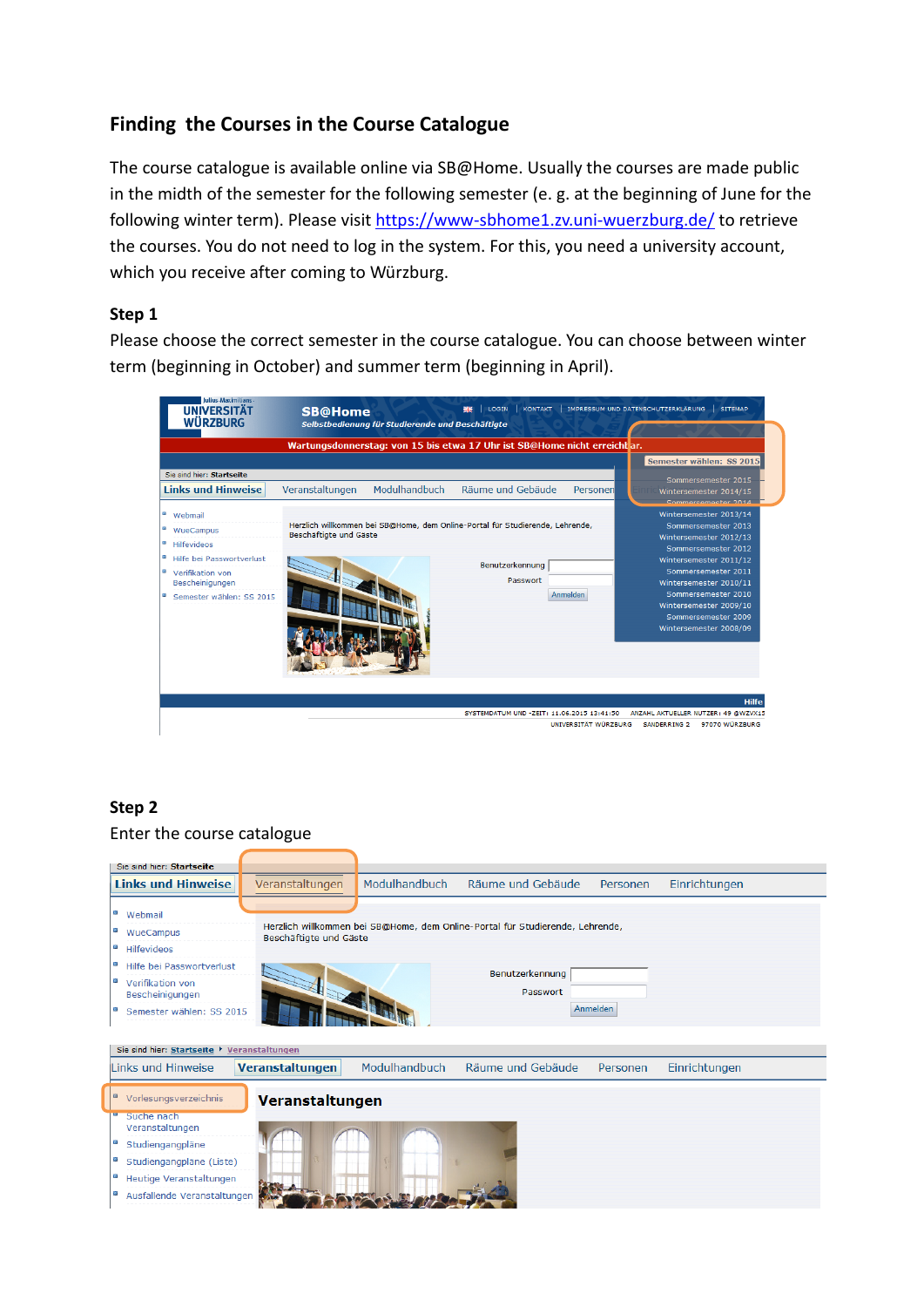# **Finding the Courses in the Course Catalogue**

The course catalogue is available online via SB@Home. Usually the courses are made public in the midth of the semester for the following semester (e. g. at the beginning of June for the following winter term). Please visit<https://www-sbhome1.zv.uni-wuerzburg.de/> to retrieve the courses. You do not need to log in the system. For this, you need a university account, which you receive after coming to Würzburg.

## **Step 1**

Please choose the correct semester in the course catalogue. You can choose between winter term (beginning in October) and summer term (beginning in April).

| Julius-Maximilians-<br><b>UNIVERSITÄT</b><br><b>WÜRZBURG</b>                                                                                                      | <b>SB@Home</b><br>Selbstbedienung für Studierende und Beschäftigte                                      | IMPRESSUM UND DATENSCHUTZERKLÄRUNG<br><b>SITEMAP</b><br><b>KONTAKT</b><br>LOGIN                                                                                                                                                                                                                                               |              |
|-------------------------------------------------------------------------------------------------------------------------------------------------------------------|---------------------------------------------------------------------------------------------------------|-------------------------------------------------------------------------------------------------------------------------------------------------------------------------------------------------------------------------------------------------------------------------------------------------------------------------------|--------------|
|                                                                                                                                                                   | Wartungsdonnerstag: von 15 bis etwa 17 Uhr ist SB@Home nicht erreicht ar.                               |                                                                                                                                                                                                                                                                                                                               |              |
|                                                                                                                                                                   |                                                                                                         | Semester wählen: SS 2015                                                                                                                                                                                                                                                                                                      |              |
| Sie sind hier: Startseite<br><b>Links und Hinweise</b>                                                                                                            | Modulhandbuch<br>Veranstaltungen                                                                        | Sommersemester 2015<br>Räume und Gebäude<br>Personen<br>Wintersemester 2014/15<br>Sommercemecter 2014                                                                                                                                                                                                                         |              |
| o<br>Webmail<br>ø<br>WueCampus<br>ø<br>Hilfevideos<br>ø<br>Hilfe bei Passwortverlust<br>Θ<br>Verifikation von<br>Bescheinigungen<br>o<br>Semester wählen: SS 2015 | Herzlich willkommen bei SB@Home, dem Online-Portal für Studierende, Lehrende,<br>Beschäftigte und Gäste | Wintersemester 2013/14<br>Sommersemester 2013<br>Wintersemester 2012/13<br>Sommersemester 2012<br>Wintersemester 2011/12<br>Benutzerkennung<br>Sommersemester 2011<br>Passwort<br>Wintersemester 2010/11<br><b>Anmelden</b><br>Sommersemester 2010<br>Wintersemester 2009/10<br>Sommersemester 2009<br>Wintersemester 2008/09 |              |
|                                                                                                                                                                   |                                                                                                         | SYSTEMDATUM UND -ZEIT: 11.06.2015 13:41:50<br>ANZAHL AKTUELLER NUTZER: 49 @WZVX15<br>UNIVERSITÄT WÜRZBURG<br>97070 WÜRZBURG<br><b>SANDERRING 2</b>                                                                                                                                                                            | <b>Hilfe</b> |

## **Step 2**

## Enter the course catalogue